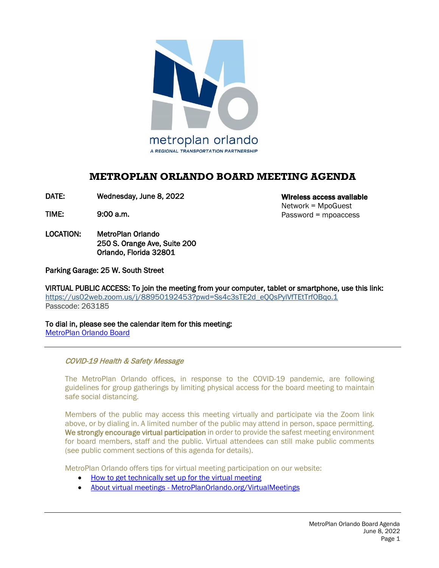

# **METROPLAN ORLANDO BOARD MEETING AGENDA**

DATE: Wednesday, June 8, 2022

TIME: 9:00 a.m.

LOCATION: MetroPlan Orlando 250 S. Orange Ave, Suite 200 Orlando, Florida 32801

Wireless access available Network = MpoGuest Password = mpoaccess

Parking Garage: 25 W. South Street

VIRTUAL PUBLIC ACCESS: To join the meeting from your computer, tablet or smartphone, use this link: https://us02web.zoom.us/j/88950192453?pwd=Ss4c3sTE2d\_e00sPylVfTEtTrf0Bqo.1 Passcode: 263185

To dial in, please see the calendar item for this meeting: [MetroPlan Orlando Board](https://metroplanorlando.org/meetings/metroplan-orlando-board-06-08-22/) 

COVID-19 Health & Safety Message

 The MetroPlan Orlando offices, in response to the COVID-19 pandemic, are following guidelines for group gatherings by limiting physical access for the board meeting to maintain safe social distancing.

Members of the public may access this meeting virtually and participate via the Zoom link above, or by dialing in. A limited number of the public may attend in person, space permitting. We strongly encourage virtual participation in order to provide the safest meeting environment for board members, staff and the public. Virtual attendees can still make public comments (see public comment sections of this agenda for details).

MetroPlan Orlando offers tips for virtual meeting participation on our website:

- [How to get technically set up for the virtual meeting](https://metroplanorlando.org/wp-content/uploads/VM_TipsSheet_SetUp_Public-FINAL.pdf)
- About virtual meetings [MetroPlanOrlando.org/VirtualMeetings](https://metroplanorlando.org/virtualmeetings)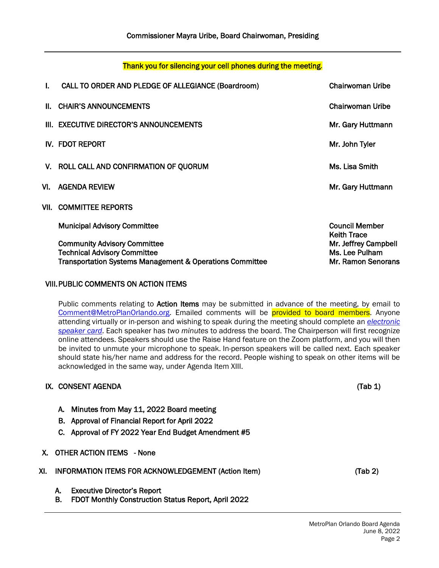### Thank you for silencing your cell phones during the meeting.

| L. | CALL TO ORDER AND PLEDGE OF ALLEGIANCE (Boardroom)                                                                                                | Chairwoman Uribe                                             |
|----|---------------------------------------------------------------------------------------------------------------------------------------------------|--------------------------------------------------------------|
|    | II. CHAIR'S ANNOUNCEMENTS                                                                                                                         | Chairwoman Uribe                                             |
|    | III. EXECUTIVE DIRECTOR'S ANNOUNCEMENTS                                                                                                           | Mr. Gary Huttmann                                            |
|    | IV. FDOT REPORT                                                                                                                                   | Mr. John Tyler                                               |
|    | V. ROLL CALL AND CONFIRMATION OF QUORUM                                                                                                           | Ms. Lisa Smith                                               |
|    | VI. AGENDA REVIEW                                                                                                                                 | Mr. Gary Huttmann                                            |
|    | VII. COMMITTEE REPORTS                                                                                                                            |                                                              |
|    | <b>Municipal Advisory Committee</b>                                                                                                               | <b>Council Member</b><br><b>Keith Trace</b>                  |
|    | <b>Community Advisory Committee</b><br><b>Technical Advisory Committee</b><br><b>Transportation Systems Management &amp; Operations Committee</b> | Mr. Jeffrey Campbell<br>Ms. Lee Pulham<br>Mr. Ramon Senorans |

## VIII.PUBLIC COMMENTS ON ACTION ITEMS

Public comments relating to Action Items may be submitted in advance of the meeting, by email to [Comment@MetroPlanOrlando.org.](mailto:Comment@MetroPlanOrlando.org) Emailed comments will be provided to board members. Anyone attending virtually or in-person and wishing to speak during the meeting should complete an *[electronic](https://metroplanorlando.org/board-committees/speaker-card-for-meetings/)  [speaker card](https://metroplanorlando.org/board-committees/speaker-card-for-meetings/)*. Each speaker has *two minutes* to address the board. The Chairperson will first recognize online attendees. Speakers should use the Raise Hand feature on the Zoom platform, and you will then be invited to unmute your microphone to speak. In-person speakers will be called next. Each speaker should state his/her name and address for the record. People wishing to speak on other items will be acknowledged in the same way, under Agenda Item XIII.

### IX. CONSENT AGENDA (Tab 1)

A. Minutes from May 11, 2022 Board meeting

- B. Approval of Financial Report for April 2022
- C. Approval of FY 2022 Year End Budget Amendment #5
- X. OTHER ACTION ITEMS None

|  |  | XI. INFORMATION ITEMS FOR ACKNOWLEDGEMENT (Action Item) | (Tab 2) |
|--|--|---------------------------------------------------------|---------|
|--|--|---------------------------------------------------------|---------|

- A. Executive Director's Report
- B. FDOT Monthly Construction Status Report, April 2022